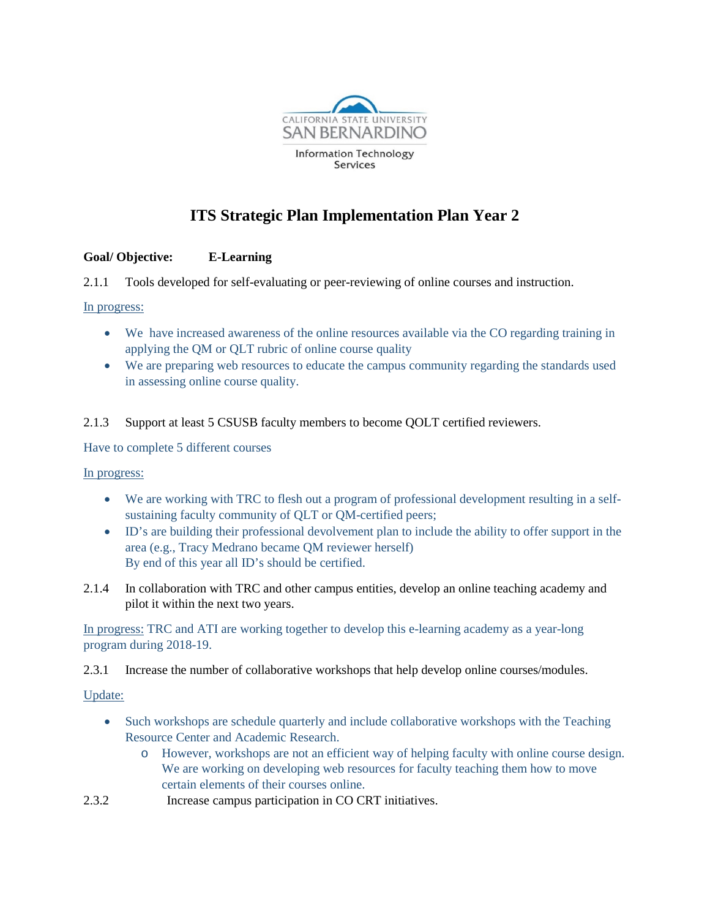

# **ITS Strategic Plan Implementation Plan Year 2**

# **Goal/ Objective: E-Learning**

2.1.1 Tools developed for self-evaluating or peer-reviewing of online courses and instruction.

## In progress:

- We have increased awareness of the online resources available via the CO regarding training in applying the QM or QLT rubric of online course quality
- We are preparing web resources to educate the campus community regarding the standards used in assessing online course quality.
- 2.1.3 Support at least 5 CSUSB faculty members to become QOLT certified reviewers.

Have to complete 5 different courses

# In progress:

- We are working with TRC to flesh out a program of professional development resulting in a selfsustaining faculty community of QLT or QM-certified peers;
- ID's are building their professional devolvement plan to include the ability to offer support in the area (e.g., Tracy Medrano became QM reviewer herself) By end of this year all ID's should be certified.
- 2.1.4 In collaboration with TRC and other campus entities, develop an online teaching academy and pilot it within the next two years.

In progress: TRC and ATI are working together to develop this e-learning academy as a year-long program during 2018-19.

2.3.1 Increase the number of collaborative workshops that help develop online courses/modules.

# Update:

- Such workshops are schedule quarterly and include collaborative workshops with the Teaching Resource Center and Academic Research.
	- o However, workshops are not an efficient way of helping faculty with online course design. We are working on developing web resources for faculty teaching them how to move certain elements of their courses online.
- 2.3.2 Increase campus participation in CO CRT initiatives.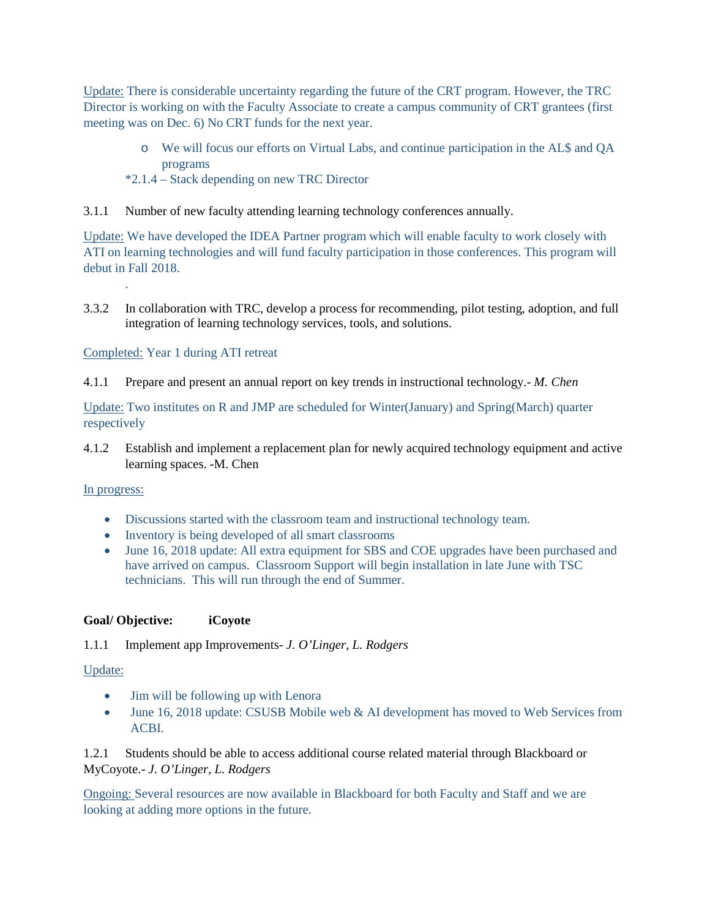Update: There is considerable uncertainty regarding the future of the CRT program. However, the TRC Director is working on with the Faculty Associate to create a campus community of CRT grantees (first meeting was on Dec. 6) No CRT funds for the next year.

- o We will focus our efforts on Virtual Labs, and continue participation in the AL\$ and QA programs
- \*2.1.4 Stack depending on new TRC Director
- 3.1.1 Number of new faculty attending learning technology conferences annually.

Update: We have developed the IDEA Partner program which will enable faculty to work closely with ATI on learning technologies and will fund faculty participation in those conferences. This program will debut in Fall 2018.

3.3.2 In collaboration with TRC, develop a process for recommending, pilot testing, adoption, and full integration of learning technology services, tools, and solutions.

## Completed: Year 1 during ATI retreat

4.1.1 Prepare and present an annual report on key trends in instructional technology.- *M. Chen*

Update: Two institutes on R and JMP are scheduled for Winter(January) and Spring(March) quarter respectively

4.1.2 Establish and implement a replacement plan for newly acquired technology equipment and active learning spaces. -M. Chen

#### In progress:

.

- Discussions started with the classroom team and instructional technology team.
- Inventory is being developed of all smart classrooms
- June 16, 2018 update: All extra equipment for SBS and COE upgrades have been purchased and have arrived on campus. Classroom Support will begin installation in late June with TSC technicians. This will run through the end of Summer.

#### **Goal/ Objective: iCoyote**

1.1.1 Implement app Improvements*- J. O'Linger, L. Rodgers*

#### Update:

- Jim will be following up with Lenora
- June 16, 2018 update: CSUSB Mobile web & AI development has moved to Web Services from ACBI.

1.2.1 Students should be able to access additional course related material through Blackboard or MyCoyote.- *J. O'Linger, L. Rodgers*

Ongoing: Several resources are now available in Blackboard for both Faculty and Staff and we are looking at adding more options in the future.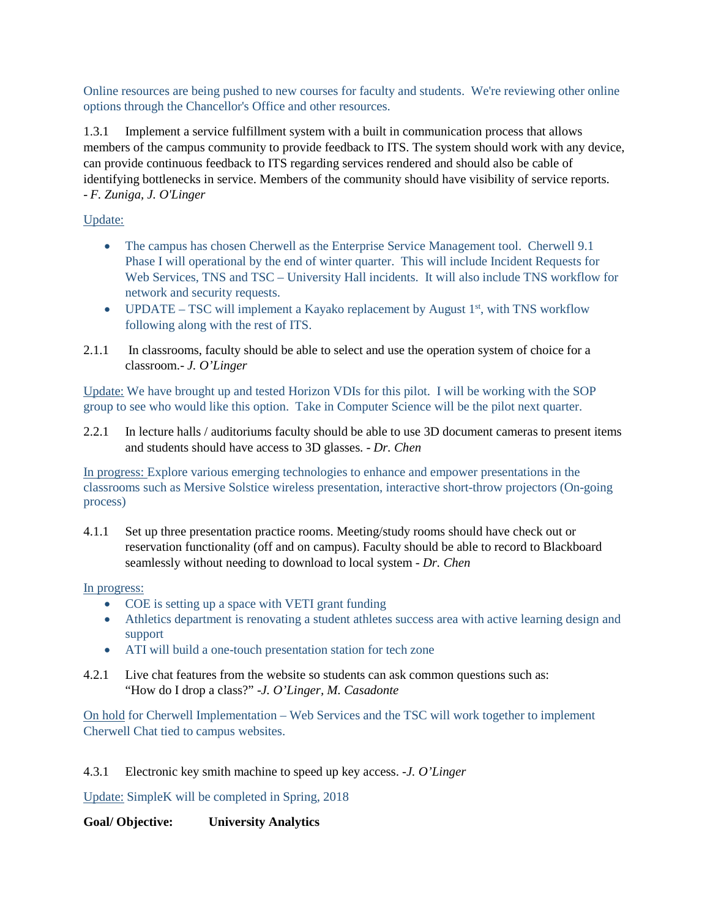Online resources are being pushed to new courses for faculty and students. We're reviewing other online options through the Chancellor's Office and other resources.

1.3.1 Implement a service fulfillment system with a built in communication process that allows members of the campus community to provide feedback to ITS. The system should work with any device, can provide continuous feedback to ITS regarding services rendered and should also be cable of identifying bottlenecks in service. Members of the community should have visibility of service reports. - *F. Zuniga, J. O'Linger*

# Update:

- The campus has chosen Cherwell as the Enterprise Service Management tool. Cherwell 9.1 Phase I will operational by the end of winter quarter. This will include Incident Requests for Web Services, TNS and TSC – University Hall incidents. It will also include TNS workflow for network and security requests.
- UPDATE TSC will implement a Kayako replacement by August  $1<sup>st</sup>$ , with TNS workflow following along with the rest of ITS.
- 2.1.1 In classrooms, faculty should be able to select and use the operation system of choice for a classroom.- *J. O'Linger*

Update: We have brought up and tested Horizon VDIs for this pilot. I will be working with the SOP group to see who would like this option. Take in Computer Science will be the pilot next quarter.

2.2.1 In lecture halls / auditoriums faculty should be able to use 3D document cameras to present items and students should have access to 3D glasses. - *Dr. Chen*

In progress: Explore various emerging technologies to enhance and empower presentations in the classrooms such as Mersive Solstice wireless presentation, interactive short-throw projectors (On-going process)

4.1.1 Set up three presentation practice rooms. Meeting/study rooms should have check out or reservation functionality (off and on campus). Faculty should be able to record to Blackboard seamlessly without needing to download to local system - *Dr. Chen*

# In progress:

- COE is setting up a space with VETI grant funding
- Athletics department is renovating a student athletes success area with active learning design and support
- ATI will build a one-touch presentation station for tech zone
- 4.2.1 Live chat features from the website so students can ask common questions such as: "How do I drop a class?" -*J. O'Linger, M. Casadonte*

On hold for Cherwell Implementation – Web Services and the TSC will work together to implement Cherwell Chat tied to campus websites.

#### 4.3.1 Electronic key smith machine to speed up key access. -*J. O'Linger*

Update: SimpleK will be completed in Spring, 2018

# **Goal/ Objective: University Analytics**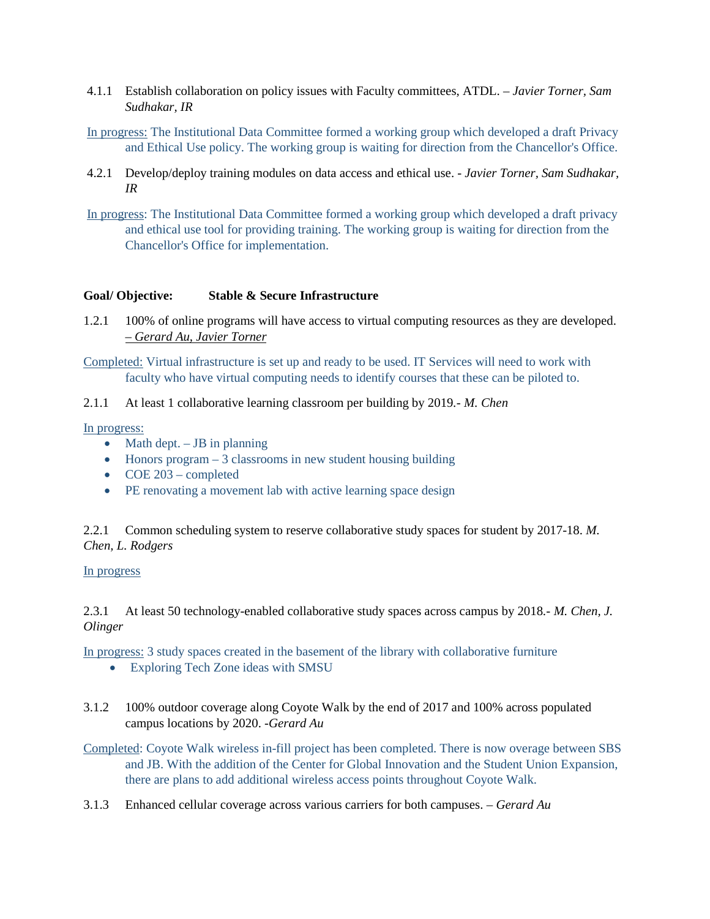- 4.1.1 Establish collaboration on policy issues with Faculty committees, ATDL. *– Javier Torner, Sam Sudhakar, IR*
- In progress: The Institutional Data Committee formed a working group which developed a draft Privacy and Ethical Use policy. The working group is waiting for direction from the Chancellor's Office.
- 4.2.1 Develop/deploy training modules on data access and ethical use. *Javier Torner, Sam Sudhakar, IR*
- In progress: The Institutional Data Committee formed a working group which developed a draft privacy and ethical use tool for providing training. The working group is waiting for direction from the Chancellor's Office for implementation.

## **Goal/ Objective: Stable & Secure Infrastructure**

- 1.2.1 100% of online programs will have access to virtual computing resources as they are developed. – *Gerard Au, Javier Torner*
- Completed: Virtual infrastructure is set up and ready to be used. IT Services will need to work with faculty who have virtual computing needs to identify courses that these can be piloted to.
- 2.1.1 At least 1 collaborative learning classroom per building by 2019*.- M. Chen*

In progress:

- Math dept.  $-$  JB in planning
- Honors program 3 classrooms in new student housing building
- COE 203 completed
- PE renovating a movement lab with active learning space design

2.2.1 Common scheduling system to reserve collaborative study spaces for student by 2017-18. *M. Chen, L. Rodgers*

#### In progress

2.3.1 At least 50 technology-enabled collaborative study spaces across campus by 2018*.- M. Chen, J. Olinger* 

In progress: 3 study spaces created in the basement of the library with collaborative furniture

- Exploring Tech Zone ideas with SMSU
- 3.1.2 100% outdoor coverage along Coyote Walk by the end of 2017 and 100% across populated campus locations by 2020. *-Gerard Au*

Completed: Coyote Walk wireless in-fill project has been completed. There is now overage between SBS and JB. With the addition of the Center for Global Innovation and the Student Union Expansion, there are plans to add additional wireless access points throughout Coyote Walk.

3.1.3 Enhanced cellular coverage across various carriers for both campuses. *– Gerard Au*